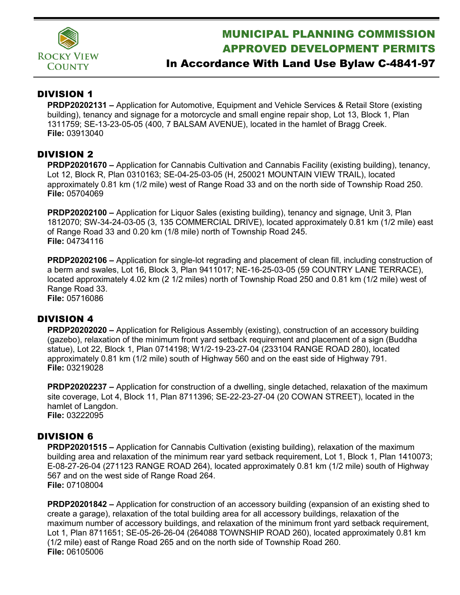

# MUNICIPAL PLANNING COMMISSION APPROVED DEVELOPMENT PERMITS

## In Accordance With Land Use Bylaw C-4841-97

### DIVISION 1

**PRDP20202131 –** Application for Automotive, Equipment and Vehicle Services & Retail Store (existing building), tenancy and signage for a motorcycle and small engine repair shop, Lot 13, Block 1, Plan 1311759; SE-13-23-05-05 (400, 7 BALSAM AVENUE), located in the hamlet of Bragg Creek. **File:** 03913040

#### DIVISION 2

**PRDP20201670 –** Application for Cannabis Cultivation and Cannabis Facility (existing building), tenancy, Lot 12, Block R, Plan 0310163; SE-04-25-03-05 (H, 250021 MOUNTAIN VIEW TRAIL), located approximately 0.81 km (1/2 mile) west of Range Road 33 and on the north side of Township Road 250. **File:** 05704069

**PRDP20202100 –** Application for Liquor Sales (existing building), tenancy and signage, Unit 3, Plan 1812070; SW-34-24-03-05 (3, 135 COMMERCIAL DRIVE), located approximately 0.81 km (1/2 mile) east of Range Road 33 and 0.20 km (1/8 mile) north of Township Road 245. **File:** 04734116

**PRDP20202106 –** Application for single-lot regrading and placement of clean fill, including construction of a berm and swales, Lot 16, Block 3, Plan 9411017; NE-16-25-03-05 (59 COUNTRY LANE TERRACE), located approximately 4.02 km (2 1/2 miles) north of Township Road 250 and 0.81 km (1/2 mile) west of Range Road 33.

**File:** 05716086

#### DIVISION 4

**PRDP20202020 –** Application for Religious Assembly (existing), construction of an accessory building (gazebo), relaxation of the minimum front yard setback requirement and placement of a sign (Buddha statue), Lot 22, Block 1, Plan 0714198; W1/2-19-23-27-04 (233104 RANGE ROAD 280), located approximately 0.81 km (1/2 mile) south of Highway 560 and on the east side of Highway 791. **File:** 03219028

**PRDP20202237 –** Application for construction of a dwelling, single detached, relaxation of the maximum site coverage, Lot 4, Block 11, Plan 8711396; SE-22-23-27-04 (20 COWAN STREET), located in the hamlet of Langdon. **File:** 03222095

#### DIVISION 6

**PRDP20201515 –** Application for Cannabis Cultivation (existing building), relaxation of the maximum building area and relaxation of the minimum rear yard setback requirement, Lot 1, Block 1, Plan 1410073; E-08-27-26-04 (271123 RANGE ROAD 264), located approximately 0.81 km (1/2 mile) south of Highway 567 and on the west side of Range Road 264. **File:** 07108004

**PRDP20201842 –** Application for construction of an accessory building (expansion of an existing shed to create a garage), relaxation of the total building area for all accessory buildings, relaxation of the maximum number of accessory buildings, and relaxation of the minimum front yard setback requirement, Lot 1, Plan 8711651; SE-05-26-26-04 (264088 TOWNSHIP ROAD 260), located approximately 0.81 km (1/2 mile) east of Range Road 265 and on the north side of Township Road 260. **File:** 06105006